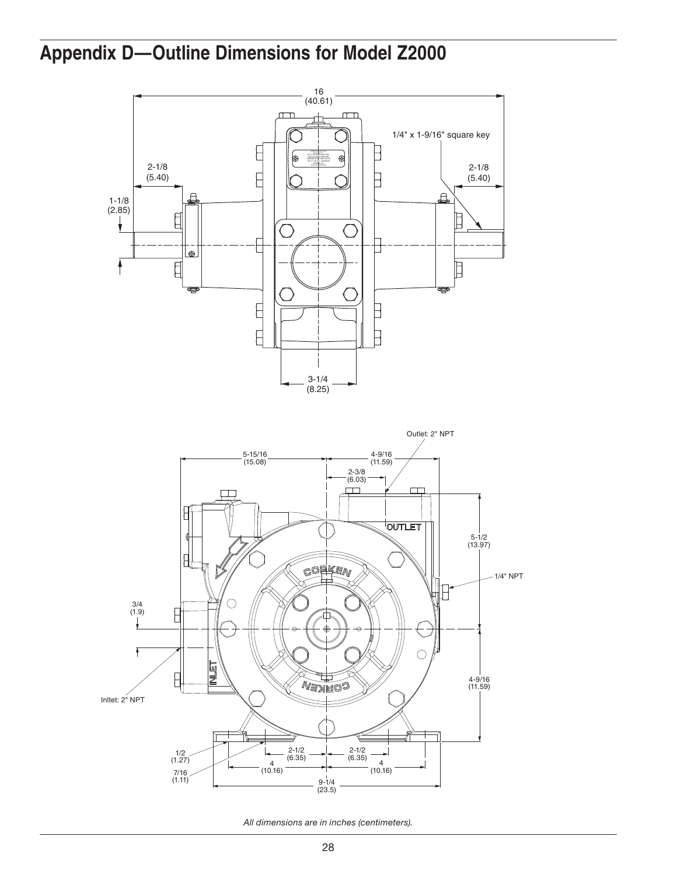



*All dimensions are in inches (centimeters).*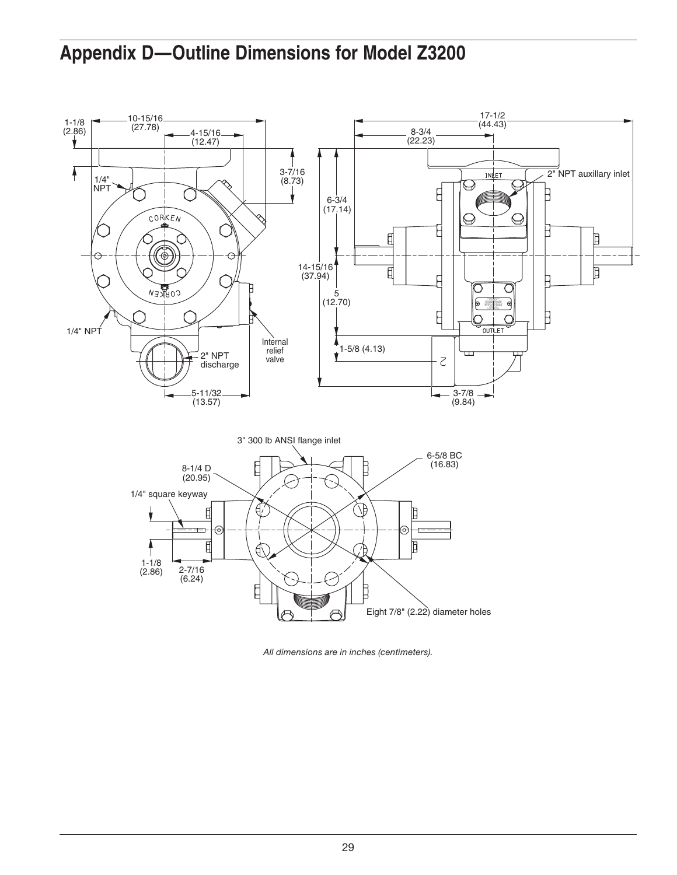

*All dimensions are in inches (centimeters).*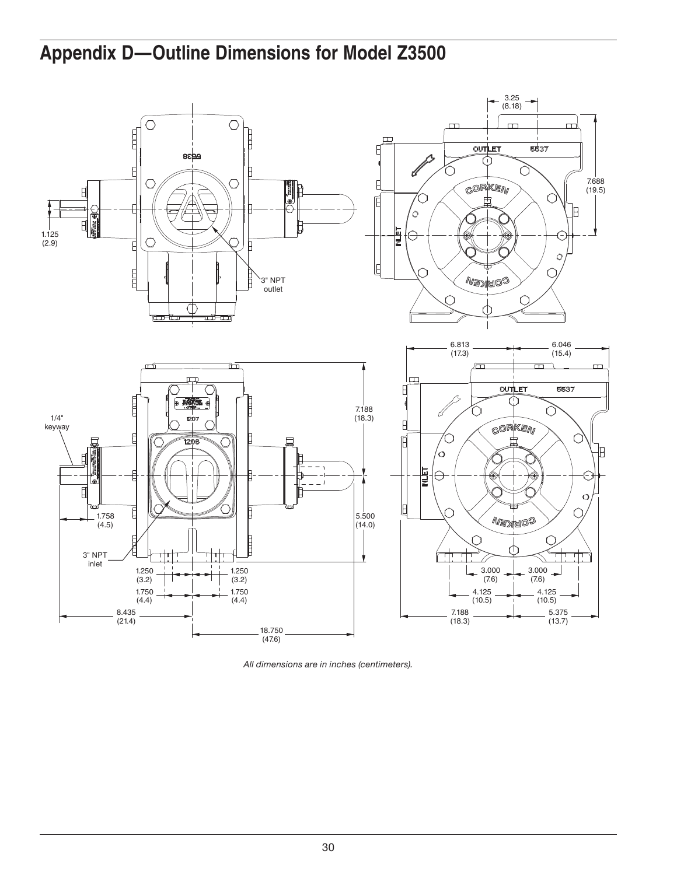

*All dimensions are in inches (centimeters).*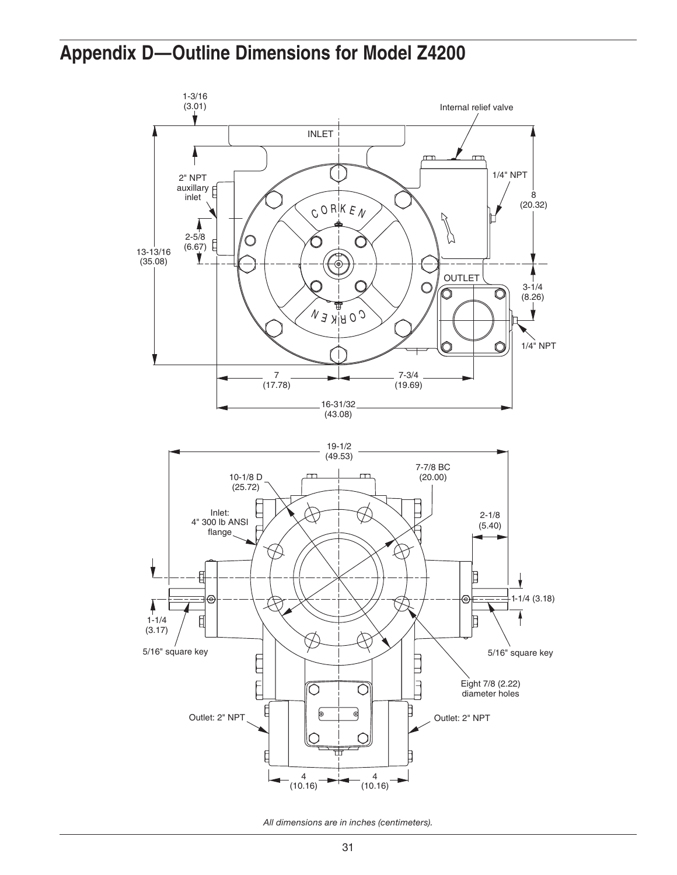

*All dimensions are in inches (centimeters).*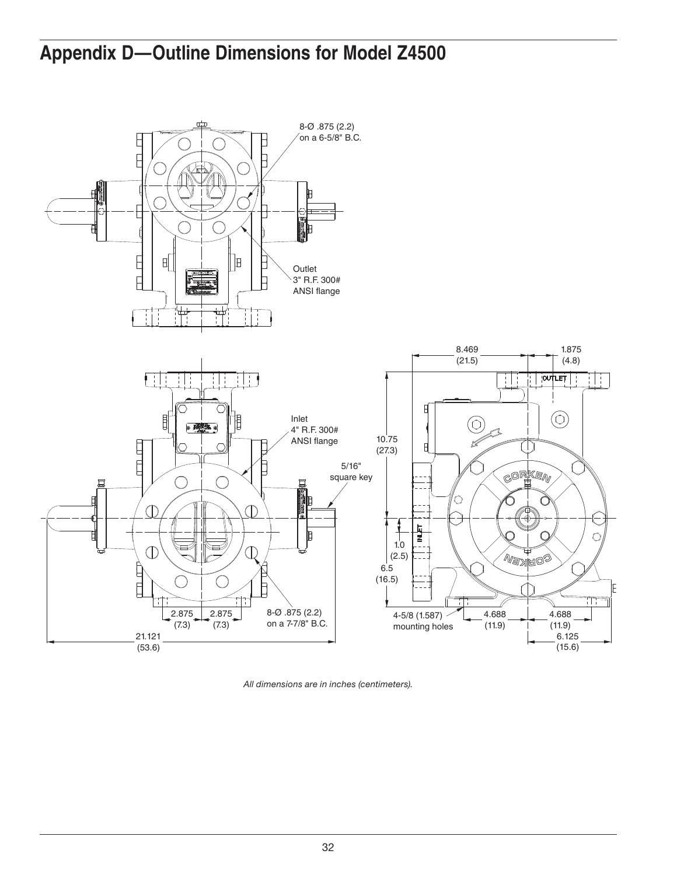

*All dimensions are in inches (centimeters).*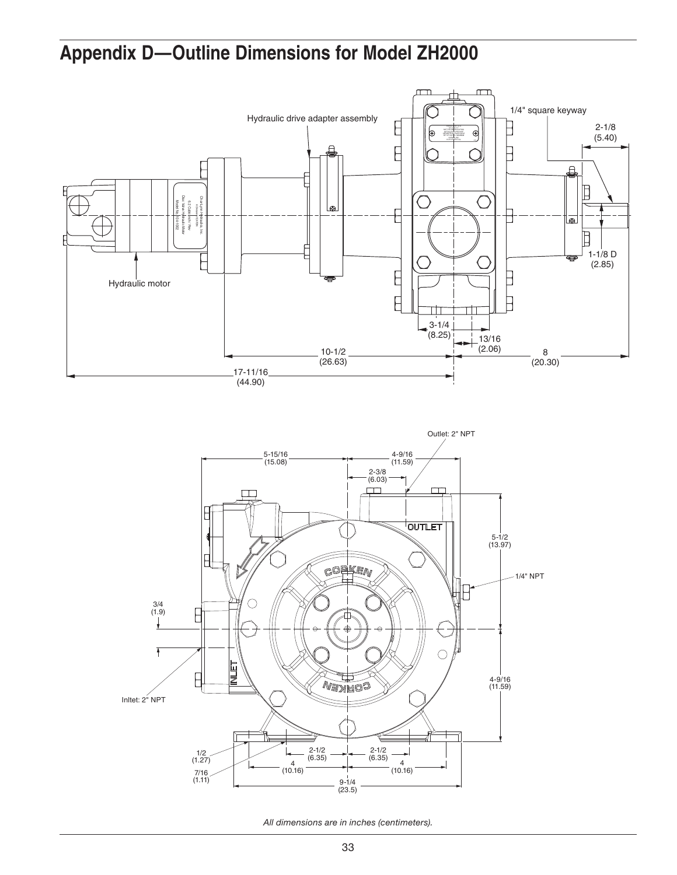

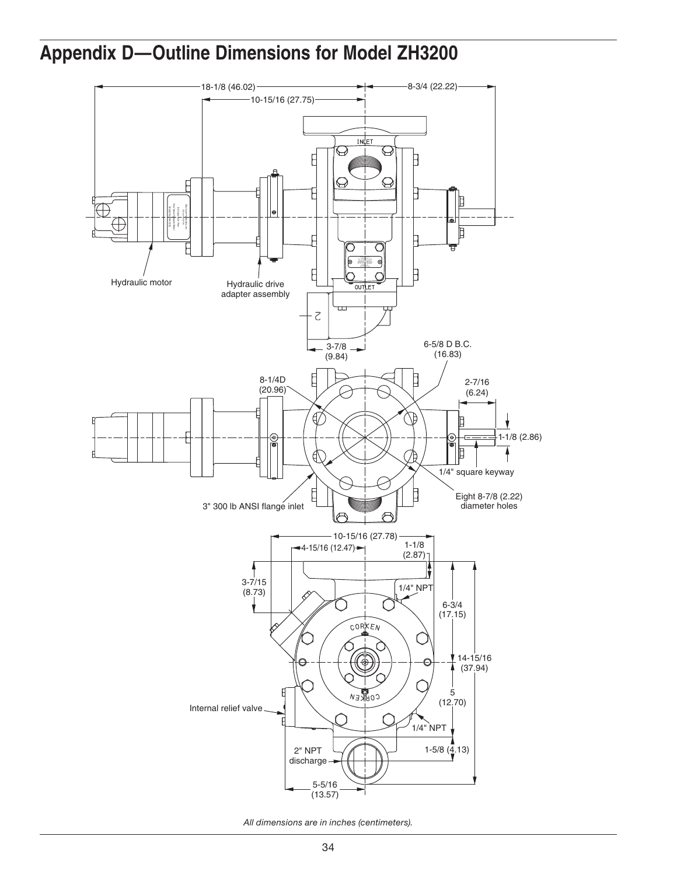

*All dimensions are in inches (centimeters).*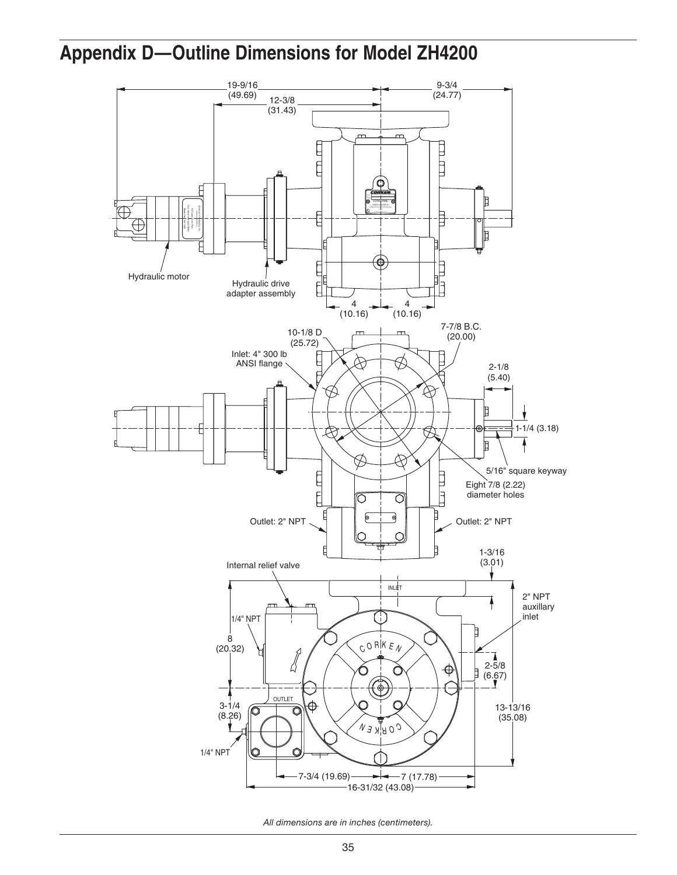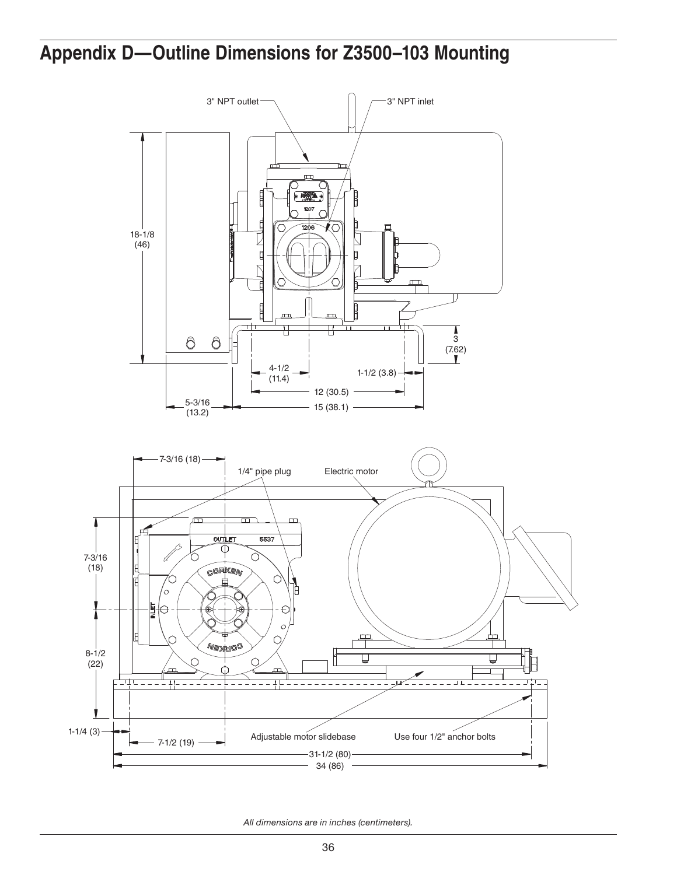## **Appendix D—Outline Dimensions for Z3500–103 Mounting**